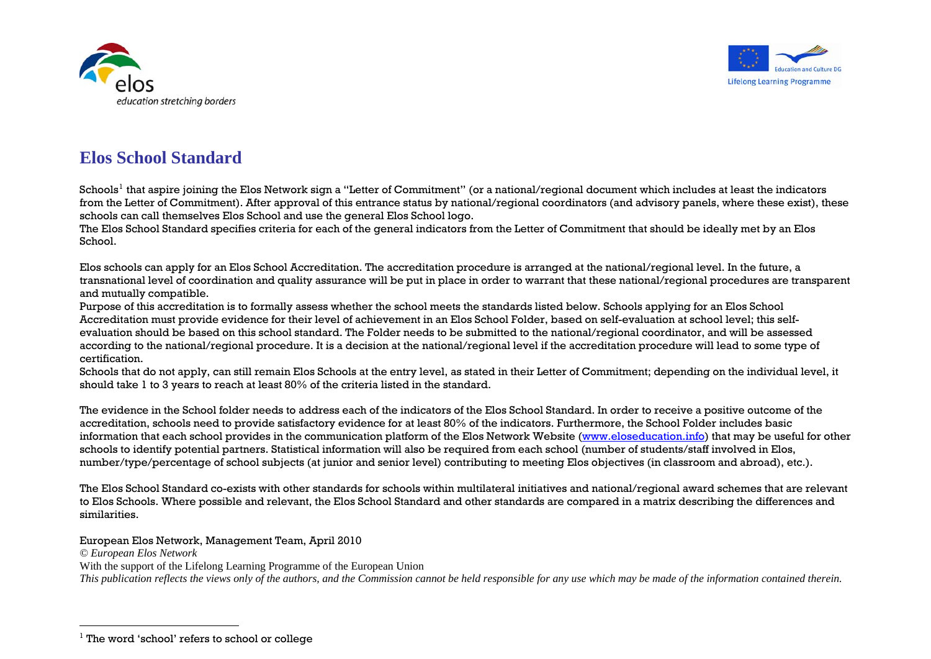



## **Elos School Standard**

Schools<sup>[1](#page-0-0)</sup> that aspire joining the Elos Network sign a "Letter of Commitment" (or a national/regional document which includes at least the indicators from the Letter of Commitment). After approval of this entrance status by national/regional coordinators (and advisory panels, where these exist), these schools can call themselves Elos School and use the general Elos School logo.

The Elos School Standard specifies criteria for each of the general indicators from the Letter of Commitment that should be ideally met by an Elos School.

Elos schools can apply for an Elos School Accreditation. The accreditation procedure is arranged at the national/regional level. In the future, a transnational level of coordination and quality assurance will be put in place in order to warrant that these national/regional procedures are transparent and mutually compatible.

Purpose of this accreditation is to formally assess whether the school meets the standards listed below. Schools applying for an Elos School Accreditation must provide evidence for their level of achievement in an Elos School Folder, based on self-evaluation at school level; this selfevaluation should be based on this school standard. The Folder needs to be submitted to the national/regional coordinator, and will be assessed according to the national/regional procedure. It is a decision at the national/regional level if the accreditation procedure will lead to some type of certification.

Schools that do not apply, can still remain Elos Schools at the entry level, as stated in their Letter of Commitment; depending on the individual level, it should take 1 to 3 years to reach at least 80% of the criteria listed in the standard.

The evidence in the School folder needs to address each of the indicators of the Elos School Standard. In order to receive a positive outcome of the accreditation, schools need to provide satisfactory evidence for at least 80% of the indicators. Furthermore, the School Folder includes basic information that each school provides in the communication platform of the Elos Network Website ([www.eloseducation.info](http://www.eloseducation.info/)) that may be useful for other schools to identify potential partners. Statistical information will also be required from each school (number of students/staff involved in Elos, number/type/percentage of school subjects (at junior and senior level) contributing to meeting Elos objectives (in classroom and abroad), etc.).

The Elos School Standard co-exists with other standards for schools within multilateral initiatives and national/regional award schemes that are relevant to Elos Schools. Where possible and relevant, the Elos School Standard and other standards are compared in a matrix describing the differences and similarities.

## European Elos Network, Management Team, April 2010

*© European Elos Network* 

With the support of the Lifelong Learning Programme of the European Union

*This publication reflects the views only of the authors, and the Commission cannot be held responsible for any use which may be made of the information contained therein.* 

<span id="page-0-0"></span><sup>&</sup>lt;sup>1</sup> The word 'school' refers to school or college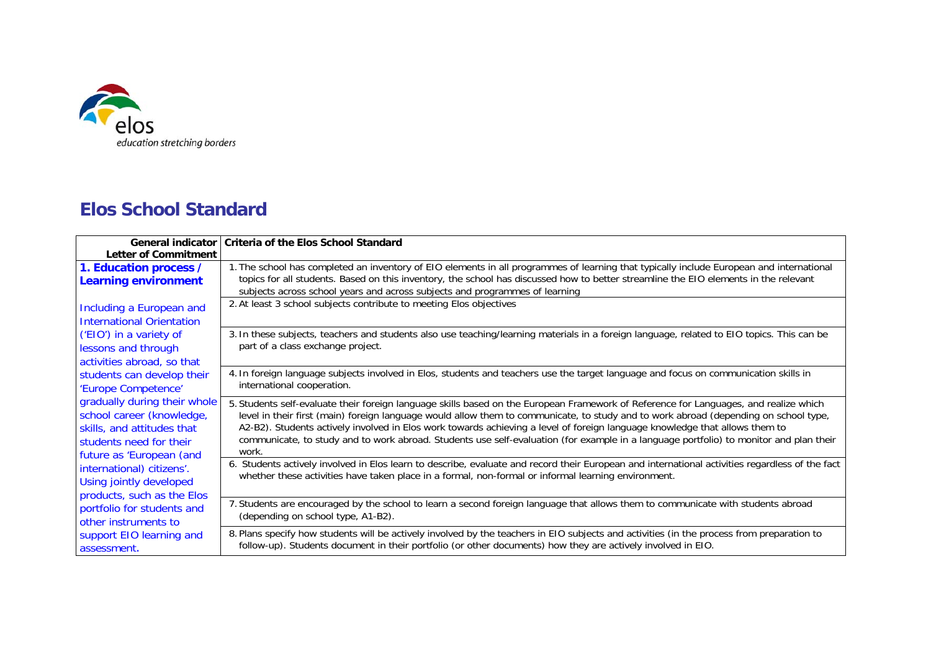

## **Elos School Standard**

| <b>General indicator</b><br><b>Letter of Commitment</b>                                                                                        | <b>Criteria of the Elos School Standard</b>                                                                                                                                                                                                                                                                                                                                                                                                                                                                                                                     |
|------------------------------------------------------------------------------------------------------------------------------------------------|-----------------------------------------------------------------------------------------------------------------------------------------------------------------------------------------------------------------------------------------------------------------------------------------------------------------------------------------------------------------------------------------------------------------------------------------------------------------------------------------------------------------------------------------------------------------|
| 1. Education process /<br><b>Learning environment</b>                                                                                          | 1. The school has completed an inventory of EIO elements in all programmes of learning that typically include European and international<br>topics for all students. Based on this inventory, the school has discussed how to better streamline the EIO elements in the relevant<br>subjects across school years and across subjects and programmes of learning                                                                                                                                                                                                 |
| Including a European and<br><b>International Orientation</b>                                                                                   | 2. At least 3 school subjects contribute to meeting Elos objectives                                                                                                                                                                                                                                                                                                                                                                                                                                                                                             |
| ('EIO') in a variety of<br>lessons and through<br>activities abroad, so that                                                                   | 3. In these subjects, teachers and students also use teaching/learning materials in a foreign language, related to EIO topics. This can be<br>part of a class exchange project.                                                                                                                                                                                                                                                                                                                                                                                 |
| students can develop their<br>'Europe Competence'                                                                                              | 4. In foreign language subjects involved in Elos, students and teachers use the target language and focus on communication skills in<br>international cooperation.                                                                                                                                                                                                                                                                                                                                                                                              |
| gradually during their whole<br>school career (knowledge,<br>skills, and attitudes that<br>students need for their<br>future as 'European (and | 5. Students self-evaluate their foreign language skills based on the European Framework of Reference for Languages, and realize which<br>level in their first (main) foreign language would allow them to communicate, to study and to work abroad (depending on school type,<br>A2-B2). Students actively involved in Elos work towards achieving a level of foreign language knowledge that allows them to<br>communicate, to study and to work abroad. Students use self-evaluation (for example in a language portfolio) to monitor and plan their<br>work. |
| international) citizens'.<br>Using jointly developed<br>products, such as the Elos                                                             | 6. Students actively involved in Elos learn to describe, evaluate and record their European and international activities regardless of the fact<br>whether these activities have taken place in a formal, non-formal or informal learning environment.                                                                                                                                                                                                                                                                                                          |
| portfolio for students and<br>other instruments to                                                                                             | 7. Students are encouraged by the school to learn a second foreign language that allows them to communicate with students abroad<br>(depending on school type, A1-B2).                                                                                                                                                                                                                                                                                                                                                                                          |
| support EIO learning and<br>assessment.                                                                                                        | 8. Plans specify how students will be actively involved by the teachers in EIO subjects and activities (in the process from preparation to<br>follow-up). Students document in their portfolio (or other documents) how they are actively involved in EIO.                                                                                                                                                                                                                                                                                                      |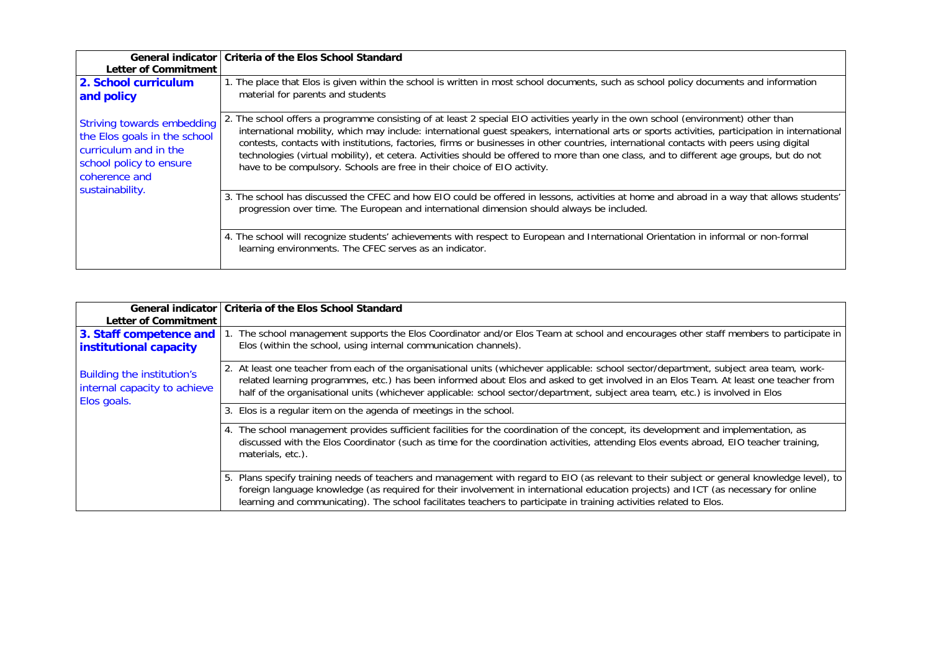| <b>General indicator</b>                                                                                                                                  | Criteria of the Elos School Standard                                                                                                                                                                                                                                                                                                                                                                                                                                                                                                                                                                                                                       |
|-----------------------------------------------------------------------------------------------------------------------------------------------------------|------------------------------------------------------------------------------------------------------------------------------------------------------------------------------------------------------------------------------------------------------------------------------------------------------------------------------------------------------------------------------------------------------------------------------------------------------------------------------------------------------------------------------------------------------------------------------------------------------------------------------------------------------------|
| Letter of Commitment                                                                                                                                      |                                                                                                                                                                                                                                                                                                                                                                                                                                                                                                                                                                                                                                                            |
| 2. School curriculum<br>and policy                                                                                                                        | 1. The place that Elos is given within the school is written in most school documents, such as school policy documents and information<br>material for parents and students                                                                                                                                                                                                                                                                                                                                                                                                                                                                                |
| <b>Striving towards embedding</b><br>the Elos goals in the school<br>curriculum and in the<br>school policy to ensure<br>coherence and<br>sustainability. | 2. The school offers a programme consisting of at least 2 special EIO activities yearly in the own school (environment) other than<br>international mobility, which may include: international guest speakers, international arts or sports activities, participation in international<br>contests, contacts with institutions, factories, firms or businesses in other countries, international contacts with peers using digital<br>technologies (virtual mobility), et cetera. Activities should be offered to more than one class, and to different age groups, but do not<br>have to be compulsory. Schools are free in their choice of EIO activity. |
|                                                                                                                                                           | 3. The school has discussed the CFEC and how EIO could be offered in lessons, activities at home and abroad in a way that allows students'<br>progression over time. The European and international dimension should always be included.                                                                                                                                                                                                                                                                                                                                                                                                                   |
|                                                                                                                                                           | 4. The school will recognize students' achievements with respect to European and International Orientation in informal or non-formal<br>learning environments. The CFEC serves as an indicator.                                                                                                                                                                                                                                                                                                                                                                                                                                                            |

|                                                                           | General indicator   Criteria of the Elos School Standard                                                                                                                                                                                                                                                                                                                                                          |
|---------------------------------------------------------------------------|-------------------------------------------------------------------------------------------------------------------------------------------------------------------------------------------------------------------------------------------------------------------------------------------------------------------------------------------------------------------------------------------------------------------|
| <b>Letter of Commitment</b>                                               |                                                                                                                                                                                                                                                                                                                                                                                                                   |
| 3. Staff competence and<br>institutional capacity                         | . The school management supports the Elos Coordinator and/or Elos Team at school and encourages other staff members to participate in<br>Elos (within the school, using internal communication channels).                                                                                                                                                                                                         |
| Building the institution's<br>internal capacity to achieve<br>Elos goals. | 2. At least one teacher from each of the organisational units (whichever applicable: school sector/department, subject area team, work-<br>related learning programmes, etc.) has been informed about Elos and asked to get involved in an Elos Team. At least one teacher from<br>half of the organisational units (whichever applicable: school sector/department, subject area team, etc.) is involved in Elos |
|                                                                           | 3. Elos is a regular item on the agenda of meetings in the school.                                                                                                                                                                                                                                                                                                                                                |
|                                                                           | 4. The school management provides sufficient facilities for the coordination of the concept, its development and implementation, as<br>discussed with the Elos Coordinator (such as time for the coordination activities, attending Elos events abroad, EIO teacher training,<br>materials, etc.).                                                                                                                |
|                                                                           | 5. Plans specify training needs of teachers and management with regard to EIO (as relevant to their subject or general knowledge level), to<br>foreign language knowledge (as required for their involvement in international education projects) and ICT (as necessary for online<br>learning and communicating). The school facilitates teachers to participate in training activities related to Elos.         |